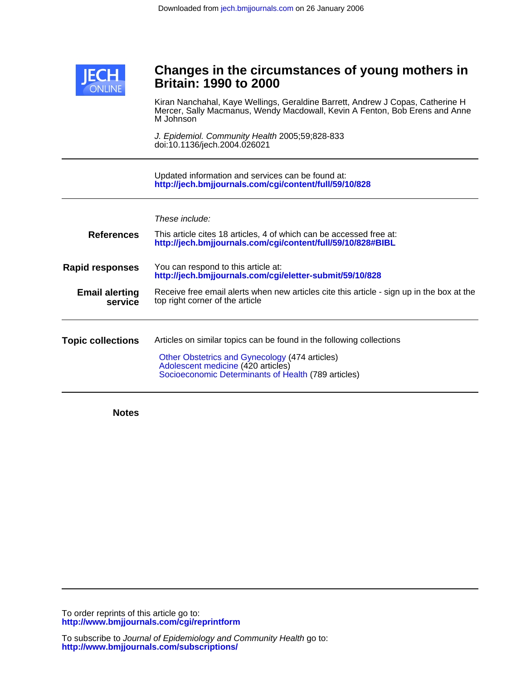

# **Britain: 1990 to 2000 Changes in the circumstances of young mothers in**

M Johnson Mercer, Sally Macmanus, Wendy Macdowall, Kevin A Fenton, Bob Erens and Anne Kiran Nanchahal, Kaye Wellings, Geraldine Barrett, Andrew J Copas, Catherine H

doi:10.1136/jech.2004.026021 J. Epidemiol. Community Health 2005;59;828-833

**<http://jech.bmjjournals.com/cgi/content/full/59/10/828>** Updated information and services can be found at:

| These include:<br>This article cites 18 articles, 4 of which can be accessed free at:<br>http://jech.bmjjournals.com/cgi/content/full/59/10/828#BIBL                                                                |
|---------------------------------------------------------------------------------------------------------------------------------------------------------------------------------------------------------------------|
| You can respond to this article at:<br>http://jech.bmjjournals.com/cgi/eletter-submit/59/10/828                                                                                                                     |
| Receive free email alerts when new articles cite this article - sign up in the box at the<br>top right corner of the article                                                                                        |
| Articles on similar topics can be found in the following collections<br>Other Obstetrics and Gynecology (474 articles)<br>Adolescent medicine (420 articles)<br>Socioeconomic Determinants of Health (789 articles) |
|                                                                                                                                                                                                                     |

**Notes**

**<http://www.bmjjournals.com/cgi/reprintform>** To order reprints of this article go to: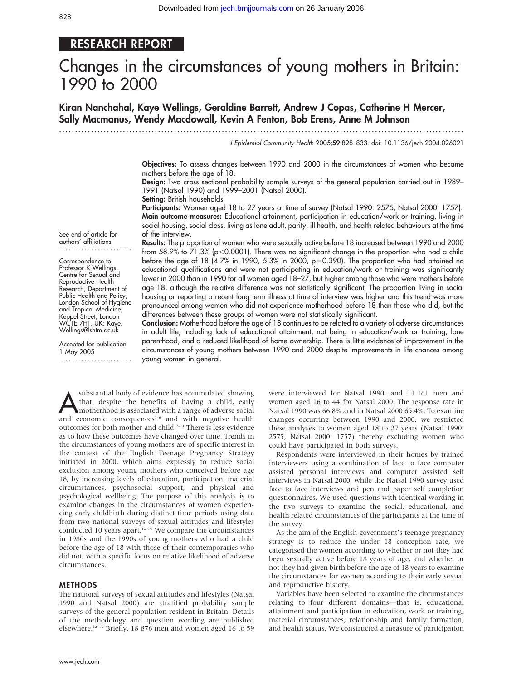# RESEARCH REPORT

# Changes in the circumstances of young mothers in Britain: 1990 to 2000

Kiran Nanchahal, Kaye Wellings, Geraldine Barrett, Andrew J Copas, Catherine H Mercer, Sally Macmanus, Wendy Macdowall, Kevin A Fenton, Bob Erens, Anne M Johnson

...............................................................................................................................

J Epidemiol Community Health 2005;59:828–833. doi: 10.1136/jech.2004.026021

Objectives: To assess changes between 1990 and 2000 in the circumstances of women who became mothers before the age of 18.

Design: Two cross sectional probability sample surveys of the general population carried out in 1989– 1991 (Natsal 1990) and 1999–2001 (Natsal 2000).

Setting: British households.

Participants: Women aged 18 to 27 years at time of survey (Natsal 1990: 2575, Natsal 2000: 1757). Main outcome measures: Educational attainment, participation in education/work or training, living in social housing, social class, living as lone adult, parity, ill health, and health related behaviours at the time of the interview.

See end of article for authors' affiliations .......................

Correspondence to: Professor K Wellings, Centre for Sexual and Reproductive Health Research, Department of Public Health and Policy, London School of Hygiene and Tropical Medicine, Keppel Street, London WC1E 7HT, UK; Kaye. Wellings@lshtm.ac.uk

Accepted for publication 1 May 2005 ....................... Results: The proportion of women who were sexually active before 18 increased between 1990 and 2000 from 58.9% to 71.3% (p<0.0001). There was no significant change in the proportion who had a child before the age of 18 (4.7% in 1990, 5.3% in 2000,  $p=0.390$ ). The proportion who had attained no educational qualifications and were not participating in education/work or training was significantly lower in 2000 than in 1990 for all women aged 18–27, but higher among those who were mothers before age 18, although the relative difference was not statistically significant. The proportion living in social housing or reporting a recent long term illness at time of interview was higher and this trend was more pronounced among women who did not experience motherhood before 18 than those who did, but the differences between these groups of women were not statistically significant.

Conclusion: Motherhood before the age of 18 continues to be related to a variety of adverse circumstances in adult life, including lack of educational attainment, not being in education/work or training, lone parenthood, and a reduced likelihood of home ownership. There is little evidence of improvement in the circumstances of young mothers between 1990 and 2000 despite improvements in life chances among young women in general.

substantial body of evidence has accumulated showing<br>that, despite the benefits of having a child, early<br>motherhood is associated with a range of adverse social<br>and economic concequences<sup>1-6</sup> and with negative health that, despite the benefits of having a child, early and economic consequences<sup> $1-6$ </sup> and with negative health outcomes for both mother and child.7–11 There is less evidence as to how these outcomes have changed over time. Trends in the circumstances of young mothers are of specific interest in the context of the English Teenage Pregnancy Strategy initiated in 2000, which aims expressly to reduce social exclusion among young mothers who conceived before age 18, by increasing levels of education, participation, material circumstances, psychosocial support, and physical and psychological wellbeing. The purpose of this analysis is to examine changes in the circumstances of women experiencing early childbirth during distinct time periods using data from two national surveys of sexual attitudes and lifestyles conducted 10 years apart.<sup>12–14</sup> We compare the circumstances in 1980s and the 1990s of young mothers who had a child before the age of 18 with those of their contemporaries who did not, with a specific focus on relative likelihood of adverse circumstances.

#### METHODS

The national surveys of sexual attitudes and lifestyles (Natsal 1990 and Natsal 2000) are stratified probability sample surveys of the general population resident in Britain. Details of the methodology and question wording are published elsewhere.<sup>12-16</sup> Briefly, 18 876 men and women aged 16 to 59 were interviewed for Natsal 1990, and 11 161 men and women aged 16 to 44 for Natsal 2000. The response rate in Natsal 1990 was 66.8% and in Natsal 2000 65.4%. To examine changes occurring between 1990 and 2000, we restricted these analyses to women aged 18 to 27 years (Natsal 1990: 2575, Natsal 2000: 1757) thereby excluding women who could have participated in both surveys.

Respondents were interviewed in their homes by trained interviewers using a combination of face to face computer assisted personal interviews and computer assisted self interviews in Natsal 2000, while the Natsal 1990 survey used face to face interviews and pen and paper self completion questionnaires. We used questions with identical wording in the two surveys to examine the social, educational, and health related circumstances of the participants at the time of the survey.

As the aim of the English government's teenage pregnancy strategy is to reduce the under 18 conception rate, we categorised the women according to whether or not they had been sexually active before 18 years of age, and whether or not they had given birth before the age of 18 years to examine the circumstances for women according to their early sexual and reproductive history.

Variables have been selected to examine the circumstances relating to four different domains—that is, educational attainment and participation in education, work or training; material circumstances; relationship and family formation; and health status. We constructed a measure of participation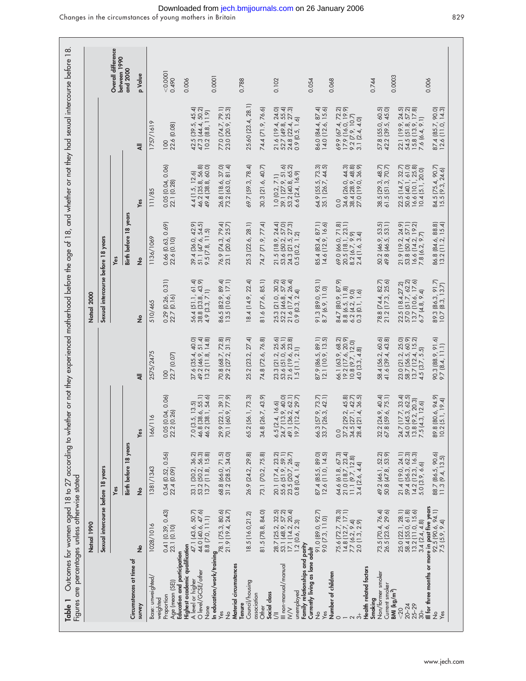|                                                                                    | Natsal 1990                                                                                |                                                                                                                     |                                                                                                    |                                                                                                              | Natsal 2000                                                                                                         |                                                                                                                          |                                                                                                                      |                                                                                                                    |                                    |
|------------------------------------------------------------------------------------|--------------------------------------------------------------------------------------------|---------------------------------------------------------------------------------------------------------------------|----------------------------------------------------------------------------------------------------|--------------------------------------------------------------------------------------------------------------|---------------------------------------------------------------------------------------------------------------------|--------------------------------------------------------------------------------------------------------------------------|----------------------------------------------------------------------------------------------------------------------|--------------------------------------------------------------------------------------------------------------------|------------------------------------|
|                                                                                    | Sexual intercourse before 18 years                                                         |                                                                                                                     |                                                                                                    |                                                                                                              | Sexual intercourse before 18 years                                                                                  |                                                                                                                          |                                                                                                                      |                                                                                                                    |                                    |
|                                                                                    |                                                                                            | Yes                                                                                                                 |                                                                                                    |                                                                                                              |                                                                                                                     | Yes                                                                                                                      |                                                                                                                      |                                                                                                                    | Overall difference<br>between 1990 |
| Circumstances at time of                                                           |                                                                                            | Birth before 18 years                                                                                               |                                                                                                    |                                                                                                              |                                                                                                                     | Birth before 18 years                                                                                                    |                                                                                                                      |                                                                                                                    | and 2000                           |
| survey                                                                             | ş                                                                                          | $\epsilon$                                                                                                          | Yes                                                                                                | ₹                                                                                                            | ٤                                                                                                                   | $\frac{9}{2}$                                                                                                            | Yes                                                                                                                  | ₹                                                                                                                  | p Value                            |
| Base: unweighted/                                                                  | 1028/1016                                                                                  | 1381/1343                                                                                                           | $\frac{8}{10}$<br>166/                                                                             | 2575/2475                                                                                                    | 510/465                                                                                                             | 1136/1069                                                                                                                | 11/85                                                                                                                | 1757/1619                                                                                                          |                                    |
| Education and participation<br>Age (mean (SE))<br>Proportion<br>weighted           | 0.41 (0.39, 0.43)<br>23.1 (0.10)                                                           | 0.54 (0.52, 0.56)<br>22.4 (0.09)                                                                                    | $(0.04, 0.06)$<br>$(0.26)$<br>$0.05$ (<br>22.2                                                     | 22.7 (0.07)<br>100                                                                                           | 0.31<br>$0.29$ $(0.26, 0.25)$                                                                                       | 0.66 (0.63, 0.69)<br>22.6 (0.10)                                                                                         | 0.05 (0.04, 0.06)<br>22.1 (0.28)                                                                                     | 22.6 (0.08)<br>100                                                                                                 | 0.0001<br>0.490                    |
| Highest academic qualification<br>O level/GCSE/other<br>A level or higher          | 47.1 (43.6, 50.7)<br>44.0 (40.6, 47.6)                                                     | 33.1 (30.2, 36.2)<br>53.2 (50.2, 56.3)<br>13.7 (11.8, 15.8)                                                         | $3.5, 13.5$<br>(38.6, 55.1)<br>(38.1, 54.6)<br>7.0 [3.16]<br>46.8 [1]<br>46.2 [1]                  | $40, 48$<br>$40, 8$<br>37.6 (35.4,<br>49.2 (46.9,<br>13.2 (11.8,                                             | 56.4 (51.1, 61.4)<br>38.8 (33.8, 43.9)<br>4.9 (3.3, 7.1)                                                            | 39.4 (36.0, 42.9)<br>51.1 (47.6, 54.5)<br>9.5(7.8, 11.5)                                                                 | 4.4 (1.5, 12.6)<br>46.2 (35.8, 56.8)<br>49.4 (38.8, 60.0)                                                            | 45.4)<br>50.2)<br>42.5 (39.5, 45.4)<br>47.3 (44.4, 50.2)<br>10.2 (8.8, 11.9)                                       | 0.006                              |
| None<br>In education/work/training<br>Yes<br>21.9 (19.4, 24.7)                     |                                                                                            | 68.8 (66.0, 71.5)<br>31.2 (28.5, 34.0)                                                                              | $(22.1, 39.1)$<br>$(60.9, 77.9)$<br>29.9                                                           | $72.8$<br>$31.3$<br>70.8 (68.7, 2)<br>29.2 (27.2, 3                                                          | 86.5 (82.9, 89.4)<br>13.5 (10.6, 17.1)                                                                              | 76.9 (74.3, 79.4)<br>23.1 (20.6, 25.7)                                                                                   | $37.0$<br>$81.4$<br>26.8 (18.6, 3                                                                                    | 77.0 (74.7, 79.1)<br>23.0 (20.9, 25.3)                                                                             | 0.0001                             |
| Material circumstances<br>Council/housing<br>Tenure                                | 18.5 (16.0,21.2)                                                                           | 26.9 (24.2, 29.8)                                                                                                   | 56.1, 73.3)<br>65.2                                                                                | 25.2 (23.2, 27.4)                                                                                            | 18.4 (14.9, 22.4)                                                                                                   | 25.3 (22.6, 28.1)                                                                                                        | 69.7 [59.3, 78.4]                                                                                                    | 25.60 (23.4, 28.1)                                                                                                 | 0.788                              |
| Social class<br>association<br>Other                                               | 81.5 (78.8, 84.0)                                                                          | 73.1 (70.2, 75.8)                                                                                                   | (26.7, 43.9)<br>34.8                                                                               | 74.8 (72.6, 76.8)                                                                                            | 81.6 (77.6, 85.1)                                                                                                   | 74.7 (71.9, 77.4)                                                                                                        | 30.3 (21.6, 40.7)                                                                                                    | 74.4 (71.9, 76.6)                                                                                                  |                                    |
| Family relationships and parity<br>III non-manual/manual<br>unemployed<br>$\equiv$ | 28.7 (25.2, 32.5)<br>53.1 (48.9, 57.2)<br>$17.1$ $(14.2, 20.4)$<br>$1.2$ $(0.6, 2.3)$      | 20.1 (17.4, 23.2)<br>55.6 (51.9, 59.1)<br>23.5 (20.7, 26.7)<br>0.8 (0.4, 1.6)                                       | $\frac{6.5(2.4, 16.6)}{24.7(13.9, 40.0)}$<br>$(36.2, 62.1)$<br>$(12.4, 29.7)$<br>19.7<br>49.1      | 23.3 (21.2, 25.6)<br>53.6 (51.0, 56.1)<br>$\begin{array}{c} 21.6 (19.6, 23.8) \\ 1.5 (1.1, 2.1) \end{array}$ | 25.3 (21.0, 30.2)<br>52.2 (46.8, 57.6)<br>$21.6$ $(17.4, 26.4)$<br>0.9 $(0.3, 2.4)$                                 | 21.5 (18.9, 24.4)<br>53.6 (50.2, 57.0)<br>24.3 (21.5, 27.3)<br>0.5 (0.2, 1.2)                                            | $\begin{array}{c} 1.0 & (0.2, 7.1) \\ 39.1 & (27.9, 51.6) \\ 53.2 & (40.8, 65.2) \end{array}$<br>$6.6$ $(2.4, 16.9)$ | 21.6 (19.4, 24.0)<br>52.7 (49.8, 55.4)<br>24.8 (22.4, 27.3)<br>0.9 (0.5, 1.6)                                      | 0.102                              |
| Currently living as lone adult<br>Yes<br>$\frac{1}{2}$                             | 91.0 (89.0, 92.7)<br>9.0 (7.3, 11.0)                                                       | 87.4 (85.5, 89.0)<br>12.6 (11.0, 14.5)                                                                              | $(57.9, 73.7)$<br>$(26.3, 42.1)$<br>66.3                                                           | 87.9 (86.5, 89.1)<br>12.1 (10.9, 13.5)                                                                       | 91.3 (89.0, 93.1)<br>8.7 (6.9, 11.0)                                                                                | 85.4 (83.4, 87.1)<br>14.6 (12.9, 16.6)                                                                                   | 64.9 (55.5, 73.3)<br>35.1 (26.7, 44.5)                                                                               | 86.0 (84.4, 87.4)<br>14.0 (12.6, 15.6)                                                                             | 0.054                              |
| Number of children<br>$\circ$<br>$\sim$                                            | 75.6 (72.7, 78.3)<br>14.8 (12.7, 17.1)<br>7.7 (6.2, 9.4)<br>2.0 (1.3, 2.9)                 | $\begin{array}{c} 64.6 \ (61.8, 67.3) \\ 21.0 \ (18.7, 23.4) \\ 11.1 \ (9.7, 12.8) \\ 3.4 \ (2.6, 4.4) \end{array}$ | $(29.2, 45.8)$<br>$(27.1, 42.7)$<br>$(21.4, 36.5)$<br>34.5<br>37.2<br>0.0                          | 66.1 (63.9, 68.2)<br>19.2 (17.6, 20.9)<br>10.8 (9.7, 12.0)<br>4.0 (3.3, 4.8)                                 | $\begin{array}{l} 84.7 \, [80.9, 87.9] \\ 8.8 \, [6.5, 11.8] \\ 6.2 \, [4.2, 9.0] \\ 0.3 \, [0.1, 1.6] \end{array}$ | $\begin{array}{c} \n69.0 \, (66.0, 71.8) \\ 20.5 \, (18.1, 23.1) \\ 8.2 \, (6.7, 9.9) \\ 2.4 \, (1.6, 3.4)\n\end{array}$ | 34.6 (26.0, 44.3)<br>38.4 (28.9, 48.8)<br>27.0 (19.0, 36.9)<br>0.0                                                   | $\begin{array}{c} 69.9 \ (67.4, 72.2) \\ 17.9 \ (16.0, 19.9) \\ 9.2 \ (7.9, 10.7) \\ 3.1 \ (2.4, 4.0) \end{array}$ | 0.068                              |
| Health related factors<br>Non/former smoker<br>Current smoker<br>Smoking           | 73.5 (70.4, 76.4)<br>26.5 (23.6, 29.6)                                                     | 49.2 (46.1, 52.2)<br>50.8 (47.8, 53.9)                                                                              | $(24.9, 40.4)$<br>$(59.6, 75.1)$<br>$\frac{32.2}{67.8}$                                            | 58.4 (56.2, 60.6)<br>41.6 (39.4, 43.8)                                                                       | 78.8 (74.4, 82.7)<br>21.2 (17.3, 25.6)                                                                              | 50.2 (46.9, 53.5)<br>49.8 (46.5, 53.1)                                                                                   | 38.5 (29.3, 48.7)<br>61.5 (51.3, 70.7)                                                                               | 57.8 (55.0, 60.5)<br>42.2 (39.5, 45.0)                                                                             | 0.0003<br>0.744                    |
| $BM$ (kg/m <sup>2</sup> )<br>$20 - 24$<br>$25 - 29$<br>< 20<br>$\frac{4}{30}$      | 25.0 (22.1, 28.1)<br>58.4 (55.0, 61.8)<br>$13.2$ $(11.0, 15.6)$<br>3.4(2.4, 4.8)           | 21.4 (19.0, 24.1)<br>59.4 (56.3, 62.3)<br>14.2 (12.3, 16.3)<br>5.0 (3.9, 6.6)                                       | $(17.7, 33.4)$<br>$(45.3, 62.5)$<br>$13.8$ (9.2, 20.3)<br>7.5 (4.3, 12.6)<br>13.8(<br>54.0<br>24.7 | 23.0 (21.2, 25.0)<br>58.7 (56.5, 60.9)<br>13.7 (12.4, 15.2)<br>4.5(3.7, 5.5)                                 | 22.5 (18.4,27.2)<br>57.0 (51.7, 62.2)<br>13.7 (10.6, 17.6)<br>6.7(4.8, 9.4)                                         | 21.9 (19.2, 24.9)<br>53.8 (50.4, 57.1)<br>16.6 (14.2, 19.2)<br>7.8 (6.2, 9.7)                                            | 22.5 (14.7, 32.7)<br>50.6 (40.1, 61.0)<br>16.6 (10.1, 25.8)<br>$10.4$ $(5.1, 20.0)$                                  | 22.1 (19.9, 24.5)<br>54.5 (51.8, 57.2)<br>15.8 (13.9, 17.8)<br>7.6 (6.4, 9.1)                                      |                                    |
| $\frac{1}{2}$<br>Yes                                                               | Ill for three months or more in past five years<br>$92.5 [90.6, 94.1]$<br>7.5 $(5.9, 9.4)$ | 88.7 (86.5, 90.6)<br>11.3 (9.4, 13.5)                                                                               | $(80.6, 94.9)$<br>$(5.1, 19.4)$<br>89.8                                                            | 90.3 (88.9, 91.6)<br>9.7 (8.4, 11.1)                                                                         | 91.7<br>89.3 (86.3, 91.7)<br>10.7 (8.3, 13.7)                                                                       | 86.8 (84.6, 88.8)<br>13.2 (11.2, 15.4)                                                                                   | 84.5 (75.4, 90.7)<br>15.5 (9.3, 24.6)                                                                                | 87.4 (85.7, 90.0)<br>12.6 (11.0, 14.3)                                                                             | 0.006                              |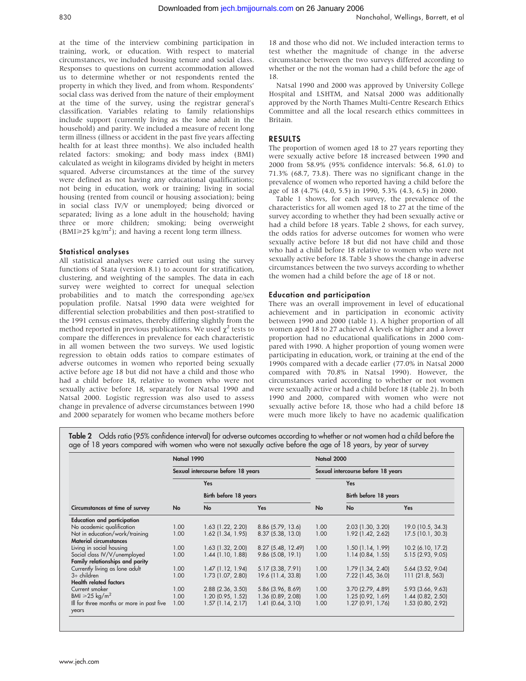at the time of the interview combining participation in training, work, or education. With respect to material circumstances, we included housing tenure and social class. Responses to questions on current accommodation allowed us to determine whether or not respondents rented the property in which they lived, and from whom. Respondents' social class was derived from the nature of their employment at the time of the survey, using the registrar general's classification. Variables relating to family relationships include support (currently living as the lone adult in the household) and parity. We included a measure of recent long term illness (illness or accident in the past five years affecting health for at least three months). We also included health related factors: smoking; and body mass index (BMI) calculated as weight in kilograms divided by height in meters squared. Adverse circumstances at the time of the survey were defined as not having any educational qualifications; not being in education, work or training; living in social housing (rented from council or housing association); being in social class IV/V or unemployed; being divorced or separated; living as a lone adult in the household; having three or more children; smoking; being overweight  $(BMI \geq 25 \text{ kg/m}^2)$ ; and having a recent long term illness.

# Statistical analyses

All statistical analyses were carried out using the survey functions of Stata (version 8.1) to account for stratification, clustering, and weighting of the samples. The data in each survey were weighted to correct for unequal selection probabilities and to match the corresponding age/sex population profile. Natsal 1990 data were weighted for differential selection probabilities and then post-stratified to the 1991 census estimates, thereby differing slightly from the method reported in previous publications. We used  $\gamma^2$  tests to compare the differences in prevalence for each characteristic in all women between the two surveys. We used logistic regression to obtain odds ratios to compare estimates of adverse outcomes in women who reported being sexually active before age 18 but did not have a child and those who had a child before 18, relative to women who were not sexually active before 18, separately for Natsal 1990 and Natsal 2000. Logistic regression was also used to assess change in prevalence of adverse circumstances between 1990 and 2000 separately for women who became mothers before 18 and those who did not. We included interaction terms to test whether the magnitude of change in the adverse circumstance between the two surveys differed according to whether or the not the woman had a child before the age of 18.

Natsal 1990 and 2000 was approved by University College Hospital and LSHTM, and Natsal 2000 was additionally approved by the North Thames Multi-Centre Research Ethics Committee and all the local research ethics committees in Britain.

## RESULTS

The proportion of women aged 18 to 27 years reporting they were sexually active before 18 increased between 1990 and 2000 from 58.9% (95% confidence intervals: 56.8, 61.0) to 71.3% (68.7, 73.8). There was no significant change in the prevalence of women who reported having a child before the age of 18 (4.7% (4.0, 5.5) in 1990, 5.3% (4.3, 6.5) in 2000.

Table 1 shows, for each survey, the prevalence of the characteristics for all women aged 18 to 27 at the time of the survey according to whether they had been sexually active or had a child before 18 years. Table 2 shows, for each survey, the odds ratios for adverse outcomes for women who were sexually active before 18 but did not have child and those who had a child before 18 relative to women who were not sexually active before 18. Table 3 shows the change in adverse circumstances between the two surveys according to whether the women had a child before the age of 18 or not.

## Education and participation

There was an overall improvement in level of educational achievement and in participation in economic activity between 1990 and 2000 (table 1). A higher proportion of all women aged 18 to 27 achieved A levels or higher and a lower proportion had no educational qualifications in 2000 compared with 1990. A higher proportion of young women were participating in education, work, or training at the end of the 1990s compared with a decade earlier (77.0% in Natsal 2000 compared with 70.8% in Natsal 1990). However, the circumstances varied according to whether or not women were sexually active or had a child before 18 (table 2). In both 1990 and 2000, compared with women who were not sexually active before 18, those who had a child before 18 were much more likely to have no academic qualification

Table 2 Odds ratio (95% confidence interval) for adverse outcomes according to whether or not women had a child before the age of 18 years compared with women who were not sexually active before the age of 18 years, by year of survey

|                                           | Natsal 1990                        |                       | Natsal 2000<br>Sexual intercourse before 18 years |      |                       |                     |
|-------------------------------------------|------------------------------------|-----------------------|---------------------------------------------------|------|-----------------------|---------------------|
|                                           | Sexual intercourse before 18 years |                       |                                                   |      |                       |                     |
|                                           | No                                 | Yes                   |                                                   |      | Yes                   |                     |
|                                           |                                    | Birth before 18 years |                                                   |      | Birth before 18 years |                     |
| Circumstances at time of survey           |                                    | No                    | <b>Yes</b>                                        | No   | <b>No</b>             | Yes                 |
| <b>Education and participation</b>        |                                    |                       |                                                   |      |                       |                     |
| No academic qualification                 | 1.00                               | $1.63$ (1.22, 2.20)   | 8.86 (5.79, 13.6)                                 | 1.00 | $2.03$ (1.30, 3.20)   | 19.0 (10.5, 34.3)   |
| Not in education/work/training            | 1.00                               | 1.62 (1.34, 1.95)     | 8.37 (5.38, 13.0)                                 | 1.00 | 1.92 (1.42, 2.62)     | 17.5 (10.1, 30.3)   |
| <b>Material circumstances</b>             |                                    |                       |                                                   |      |                       |                     |
| Living in social housing                  | 1.00                               | $1.63$ (1.32, 2.00)   | 8.27 (5.48, 12.49)                                | 1.00 | $1.50$ (1.14, 1.99)   | 10.2 (6.10, 17.2)   |
| Social class IV/V/unemployed              | 1.00                               | $1.44$ (1.10, 1.88)   | 9.86(5.08, 19.1)                                  | 1.00 | 1.14(0.84, 1.55)      | 5.15 (2.93, 9.05)   |
| Family relationships and parity           |                                    |                       |                                                   |      |                       |                     |
| Currently living as lone adult            | 1.00                               | 1.47(1.12, 1.94)      | 5.17 (3.38, 7.91)                                 | 1.00 | 1.79(1.34, 2.40)      | 5.64 (3.52, 9.04)   |
| $3+$ children                             | 1.00                               | 1.73 (1.07, 2.80)     | 19.6 (11.4, 33.8)                                 | 1.00 | 7.22 (1.45, 36.0)     | 111 (21.8, 563)     |
| <b>Health related factors</b>             |                                    |                       |                                                   |      |                       |                     |
| Current smoker                            | 1.00                               | $2.88$ (2.36, 3.50)   | 5.86 (3.96, 8.69)                                 | 1.00 | $3.70$ (2.79, 4.89)   | 5.93 (3.66, 9.63)   |
| BMI $\geq 25 \text{ kg/m}^2$              | 1.00                               | $1.20$ (0.95, 1.52)   | 1.36 (0.89, 2.08)                                 | 1.00 | 1.25(0.92, 1.69)      | $1.44$ (0.82, 2.50) |
| Ill for three months or more in past five | 1.00                               | $1.57$ (1.14, 2.17)   | $1.41$ (0.64, 3.10)                               | 1.00 | $1.27$ (0.91, 1.76)   | 1.53 (0.80, 2.92)   |
| years                                     |                                    |                       |                                                   |      |                       |                     |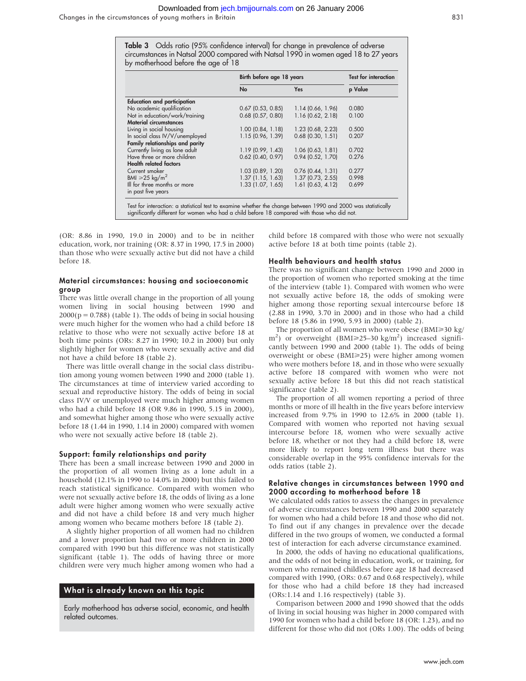Downloaded from [jech.bmjjournals.com](http://jech.bmjjournals.com) on 26 January 2006

Changes in the circumstances of young mothers in Britain 831

Table 3 Odds ratio (95% confidence interval) for change in prevalence of adverse circumstances in Natsal 2000 compared with Natsal 1990 in women aged 18 to 27 years by motherhood before the age of 18

|                                    | Birth before age 18 years | <b>Test for interaction</b> |         |
|------------------------------------|---------------------------|-----------------------------|---------|
|                                    | No                        | Yes                         | p Value |
| <b>Education and participation</b> |                           |                             |         |
| No academic qualification          | $0.67$ (0.53, 0.85)       | 1.14(0.66, 1.96)            | 0.080   |
| Not in education/work/training     | $0.68$ (0.57, 0.80)       | $1.16$ (0.62, 2.18)         | 0.100   |
| <b>Material circumstances</b>      |                           |                             |         |
| Living in social housing           | $1.00$ (0.84, 1.18)       | 1.23 (0.68, 2.23)           | 0.500   |
| In social class IV/V/unemployed    | 1.15 (0.96, 1.39)         | $0.68$ (0.30, 1.51)         | 0.207   |
| Family relationships and parity    |                           |                             |         |
| Currently living as lone adult     | 1.19(0.99, 1.43)          | 1.06(0.63, 1.81)            | 0.702   |
| Have three or more children        | $0.62$ (0.40, 0.97)       | $0.94$ (0.52, 1.70)         | 0.276   |
| <b>Health related factors</b>      |                           |                             |         |
| Current smoker                     | $1.03$ (0.89, 1.20)       | $0.76$ (0.44, 1.31)         | 0.277   |
| BMI $\geq 25 \text{ kg/m}^2$       | $1.37$ (1.15, 1.63)       | $1.37$ (0.73, 2.55)         | 0.998   |
| Ill for three months or more       | $1.33$ $(1.07, 1.65)$     | $1.61$ (0.63, 4.12)         | 0.699   |
| in past five years                 |                           |                             |         |

significantly different for women who had a child before 18 compared with those who did not.

(OR: 8.86 in 1990, 19.0 in 2000) and to be in neither education, work, nor training (OR: 8.37 in 1990, 17.5 in 2000) than those who were sexually active but did not have a child before 18.

#### Material circumstances: housing and socioeconomic group

There was little overall change in the proportion of all young women living in social housing between 1990 and  $2000(p = 0.788)$  (table 1). The odds of being in social housing were much higher for the women who had a child before 18 relative to those who were not sexually active before 18 at both time points (ORs: 8.27 in 1990; 10.2 in 2000) but only slightly higher for women who were sexually active and did not have a child before 18 (table 2).

There was little overall change in the social class distribution among young women between 1990 and 2000 (table 1). The circumstances at time of interview varied according to sexual and reproductive history. The odds of being in social class IV/V or unemployed were much higher among women who had a child before 18 (OR 9.86 in 1990, 5.15 in 2000), and somewhat higher among those who were sexually active before 18 (1.44 in 1990, 1.14 in 2000) compared with women who were not sexually active before 18 (table 2).

#### Support: family relationships and parity

There has been a small increase between 1990 and 2000 in the proportion of all women living as a lone adult in a household (12.1% in 1990 to 14.0% in 2000) but this failed to reach statistical significance. Compared with women who were not sexually active before 18, the odds of living as a lone adult were higher among women who were sexually active and did not have a child before 18 and very much higher among women who became mothers before 18 (table 2).

A slightly higher proportion of all women had no children and a lower proportion had two or more children in 2000 compared with 1990 but this difference was not statistically significant (table 1). The odds of having three or more children were very much higher among women who had a

# What is already known on this topic

Early motherhood has adverse social, economic, and health related outcomes.

child before 18 compared with those who were not sexually active before 18 at both time points (table 2).

#### Health behaviours and health status

There was no significant change between 1990 and 2000 in the proportion of women who reported smoking at the time of the interview (table 1). Compared with women who were not sexually active before 18, the odds of smoking were higher among those reporting sexual intercourse before 18 (2.88 in 1990, 3.70 in 2000) and in those who had a child before 18 (5.86 in 1990, 5.93 in 2000) (table 2).

The proportion of all women who were obese (BMI≥30 kg/ m<sup>2</sup>) or overweight (BMI≥25–30 kg/m<sup>2</sup>) increased significantly between 1990 and 2000 (table 1). The odds of being overweight or obese (BMI≥25) were higher among women who were mothers before 18, and in those who were sexually active before 18 compared with women who were not sexually active before 18 but this did not reach statistical significance (table 2).

The proportion of all women reporting a period of three months or more of ill health in the five years before interview increased from 9.7% in 1990 to 12.6% in 2000 (table 1). Compared with women who reported not having sexual intercourse before 18, women who were sexually active before 18, whether or not they had a child before 18, were more likely to report long term illness but there was considerable overlap in the 95% confidence intervals for the odds ratios (table 2).

#### Relative changes in circumstances between 1990 and 2000 according to motherhood before 18

We calculated odds ratios to assess the changes in prevalence of adverse circumstances between 1990 and 2000 separately for women who had a child before 18 and those who did not. To find out if any changes in prevalence over the decade differed in the two groups of women, we conducted a formal test of interaction for each adverse circumstance examined.

In 2000, the odds of having no educational qualifications, and the odds of not being in education, work, or training, for women who remained childless before age 18 had decreased compared with 1990, (ORs: 0.67 and 0.68 respectively), while for those who had a child before 18 they had increased (ORs:1.14 and 1.16 respectively) (table 3).

Comparison between 2000 and 1990 showed that the odds of living in social housing was higher in 2000 compared with 1990 for women who had a child before 18 (OR: 1.23), and no different for those who did not (ORs 1.00). The odds of being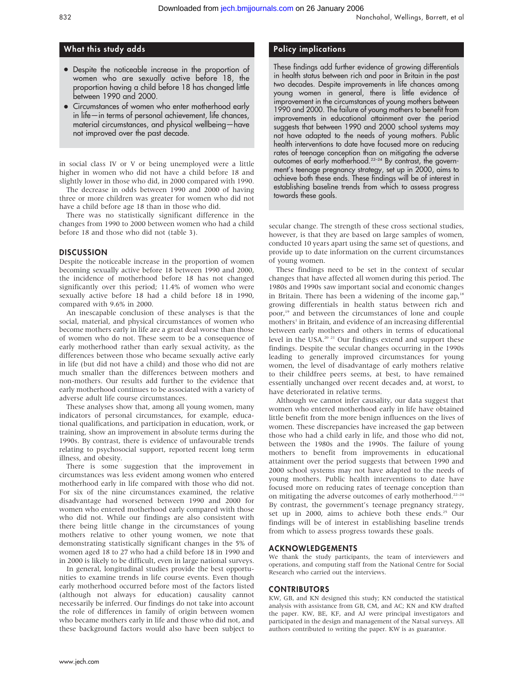# What this study adds

- Despite the noticeable increase in the proportion of women who are sexually active before 18, the proportion having a child before 18 has changed little between 1990 and 2000.
- Circumstances of women who enter motherhood early in life—in terms of personal achievement, life chances, material circumstances, and physical wellbeing—have not improved over the past decade.

in social class IV or V or being unemployed were a little higher in women who did not have a child before 18 and slightly lower in those who did, in 2000 compared with 1990.

The decrease in odds between 1990 and 2000 of having three or more children was greater for women who did not have a child before age 18 than in those who did.

There was no statistically significant difference in the changes from 1990 to 2000 between women who had a child before 18 and those who did not (table 3).

# **DISCUSSION**

Despite the noticeable increase in the proportion of women becoming sexually active before 18 between 1990 and 2000, the incidence of motherhood before 18 has not changed significantly over this period; 11.4% of women who were sexually active before 18 had a child before 18 in 1990, compared with 9.6% in 2000.

An inescapable conclusion of these analyses is that the social, material, and physical circumstances of women who become mothers early in life are a great deal worse than those of women who do not. These seem to be a consequence of early motherhood rather than early sexual activity, as the differences between those who became sexually active early in life (but did not have a child) and those who did not are much smaller than the differences between mothers and non-mothers. Our results add further to the evidence that early motherhood continues to be associated with a variety of adverse adult life course circumstances.

These analyses show that, among all young women, many indicators of personal circumstances, for example, educational qualifications, and participation in education, work, or training, show an improvement in absolute terms during the 1990s. By contrast, there is evidence of unfavourable trends relating to psychosocial support, reported recent long term illness, and obesity.

There is some suggestion that the improvement in circumstances was less evident among women who entered motherhood early in life compared with those who did not. For six of the nine circumstances examined, the relative disadvantage had worsened between 1990 and 2000 for women who entered motherhood early compared with those who did not. While our findings are also consistent with there being little change in the circumstances of young mothers relative to other young women, we note that demonstrating statistically significant changes in the 5% of women aged 18 to 27 who had a child before 18 in 1990 and in 2000 is likely to be difficult, even in large national surveys.

In general, longitudinal studies provide the best opportunities to examine trends in life course events. Even though early motherhood occurred before most of the factors listed (although not always for education) causality cannot necessarily be inferred. Our findings do not take into account the role of differences in family of origin between women who became mothers early in life and those who did not, and these background factors would also have been subject to

# Policy implications

These findings add further evidence of growing differentials in health status between rich and poor in Britain in the past two decades. Despite improvements in life chances among young women in general, there is little evidence of improvement in the circumstances of young mothers between 1990 and 2000. The failure of young mothers to benefit from improvements in educational attainment over the period suggests that between 1990 and 2000 school systems may not have adapted to the needs of young mothers. Public health interventions to date have focused more on reducing rates of teenage conception than on mitigating the adverse outcomes of early motherhood.22–24 By contrast, the government's teenage pregnancy strategy, set up in 2000, aims to achieve both these ends. These findings will be of interest in establishing baseline trends from which to assess progress towards these goals.

secular change. The strength of these cross sectional studies, however, is that they are based on large samples of women, conducted 10 years apart using the same set of questions, and provide up to date information on the current circumstances of young women.

These findings need to be set in the context of secular changes that have affected all women during this period. The 1980s and 1990s saw important social and economic changes in Britain. There has been a widening of the income gap, $18$ growing differentials in health status between rich and poor,<sup>19</sup> and between the circumstances of lone and couple mothers<sup>1</sup> in Britain, and evidence of an increasing differential between early mothers and others in terms of educational level in the USA.20 21 Our findings extend and support these findings. Despite the secular changes occurring in the 1990s leading to generally improved circumstances for young women, the level of disadvantage of early mothers relative to their childfree peers seems, at best, to have remained essentially unchanged over recent decades and, at worst, to have deteriorated in relative terms.

Although we cannot infer causality, our data suggest that women who entered motherhood early in life have obtained little benefit from the more benign influences on the lives of women. These discrepancies have increased the gap between those who had a child early in life, and those who did not, between the 1980s and the 1990s. The failure of young mothers to benefit from improvements in educational attainment over the period suggests that between 1990 and 2000 school systems may not have adapted to the needs of young mothers. Public health interventions to date have focused more on reducing rates of teenage conception than on mitigating the adverse outcomes of early motherhood.<sup>22–24</sup> By contrast, the government's teenage pregnancy strategy, set up in 2000, aims to achieve both these ends.<sup>25</sup> Our findings will be of interest in establishing baseline trends from which to assess progress towards these goals.

# ACKNOWLEDGEMENTS

We thank the study participants, the team of interviewers and operations, and computing staff from the National Centre for Social Research who carried out the interviews.

# CONTRIBUTORS

KW, GB, and KN designed this study; KN conducted the statistical analysis with assistance from GB, CM, and AC; KN and KW drafted the paper. KW, BE, KF, and AJ were principal investigators and participated in the design and management of the Natsal surveys. All authors contributed to writing the paper. KW is as guarantor.